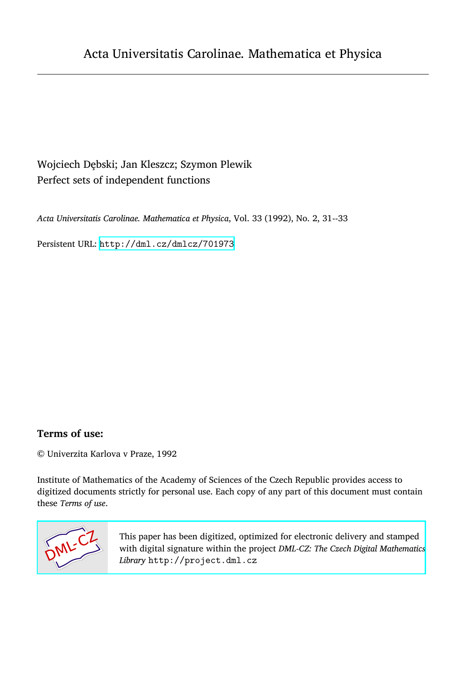## Wojciech Dȩbski; Jan Kleszcz; Szymon Plewik Perfect sets of independent functions

*Acta Universitatis Carolinae. Mathematica et Physica*, Vol. 33 (1992), No. 2, 31--33

Persistent URL: <http://dml.cz/dmlcz/701973>

## **Terms of use:**

© Univerzita Karlova v Praze, 1992

Institute of Mathematics of the Academy of Sciences of the Czech Republic provides access to digitized documents strictly for personal use. Each copy of any part of this document must contain these *Terms of use*.



[This paper has been digitized, optimized for electronic delivery and stamped](http://project.dml.cz) with digital signature within the project *DML-CZ: The Czech Digital Mathematics Library* http://project.dml.cz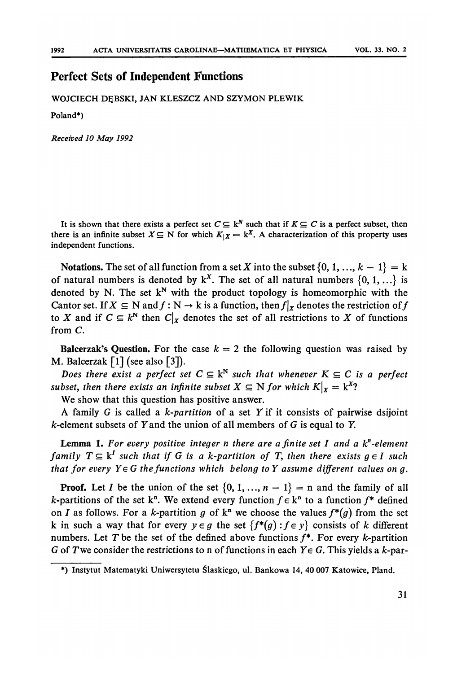## **Perfect Sets of Independent Fun**c**tions**

WOJCIECH D^BSKI, JAN **K**L**ESZCZ** AND **SZY**M**O**N PLEWIK

**Pola**nd**\*)** 

*Received 10 May 1992* 

It is shown that there exists a perfect set  $C \subseteq \mathbb{R}^N$  such that if  $K \subseteq C$  is a perfect subset, then there is an infinite subset  $X \subseteq N$  for which  $K_{|X} = k^X$ . A characterization of this property uses independent functions.

**Notations.** The set of all function from a set *X* into the subset  $\{0, 1, ..., k - 1\} = k$ of natural numbers is denoted by  $k^X$ . The set of all natural numbers  $\{0, 1, ...\}$  is d**enote**d **b**y **N.** T**he set k<sup>N</sup>** w**ith the** p**ro**d**uct to**p**olog**y **is homeomor**p**hic** w**ith the**  Cantor set. If  $X \subseteq N$  and  $f : N \to k$  is a function, then  $f|_X$  denotes the restriction of  $f$ to *X* and if  $C \subseteq k^N$  then  $C|_X$  denotes the set of all restrictions to *X* of functions **from C.** 

**Balcerzak's Question.** For the case  $k = 2$  the following question was raised by **M. Balcerzak [1] (see also [**3**]).** 

*Does there exist a perfect set*  $C \subseteq k^N$  such that whenever  $K \subseteq C$  is a perfect *subset, then there exists an infinite subset*  $X \subseteq N$  *for which*  $K|_X = k^X$ ?

**We sho**w **that this** q**uestion has** p**ositive ans**w**er.** 

**A famil**y **G is calle**d **a** *k-partition* **of a set** *Y* **if it consists of** p**air**w**ise** d**sijoint fc-element subsets of** *Y* **an**d **the union of all members of** *G* **is e**q**ual to** *Y.* 

Lemma 1. For every positive integer n there are a finite set I and a k<sup>n</sup>-element *family*  $T \subseteq k^I$  such that if G is a k-partition of T, then there exists  $g \in I$  such *that for every Y*  $\in$  *G the functions which belong to Y assume different values on g.* 

**Proof.** Let *I* be the union of the set  $\{0, 1, ..., n-1\}$  = n and the family of all *k***-partitions of the set k<sup>n</sup>. We extend every function**  $f \in k^n$  **to a function**  $f^*$  **defined on** *I* **as follows. For a k-partition g of**  $k^n$  **we choose the values**  $f^*(g)$  **from the set k** in such a way that for every  $y \in g$  the set  $\{f^*(g) : f \in y\}$  consists of k different **numbers.** Let T be the set of the defined above functions  $f^*$ . For every *k*-partition *G* of T we consider the restrictions to n of functions in each  $Y \in G$ . This yields a k-par-

**<sup>\*)</sup> Instytut Materaatyki Uniwersytetu Šlaskiego, ul. Bankowa 14, 40 007 Katowice, Pland.**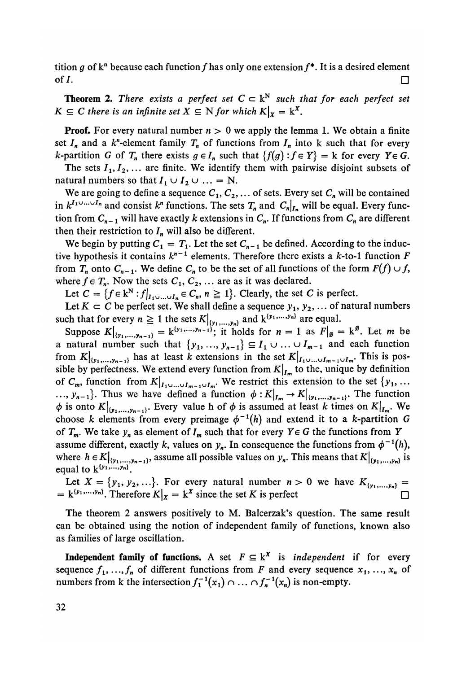tition g of  $k^n$  because each function f has only one extension  $f^*$ . It is a desired element of  $I$ .

**Theorem 2.** There exists a perfect set  $C \subset k^N$  such that for each perfect set  $K \subseteq C$  there is an infinite set  $X \subseteq N$  for which  $K\vert_{X} = k^{X}$ .

**Proof.** For every natural number  $n > 0$  we apply the lemma 1. We obtain a finite set  $I_n$  and a  $k^n$ -element family  $T_n$  of functions from  $I_n$  into k such that for every *k*-partition *G* of  $T_n$  there exists  $g \in I_n$  such that  $\{f(g) : f \in Y\} = k$  for every  $Y \in G$ .

The sets  $I_1, I_2, \ldots$  are finite. We identify them with pairwise disjoint subsets of natural numbers so that  $I_1 \cup I_2 \cup ... = N$ .

We are going to define a sequence  $C_1, C_2, \ldots$  of sets. Every set  $C_n$  will be contained in  $k^{I_1 \cup \dots \cup I_n}$  and consist  $k^n$  functions. The sets  $T_n$  and  $C_n|_{I_n}$  will be equal. Every function from  $C_{n-1}$  will have exactly k extensions in  $C_n$ . If functions from  $C_n$  are different then their restriction to  $I_n$  will also be different.

We begin by putting  $C_1 = T_1$ . Let the set  $C_{n-1}$  be defined. According to the inductive hypothesis it contains  $k^{n-1}$  elements. Therefore there exists a  $k$ -to-1 function  $F$ from  $T_n$  onto  $C_{n-1}$ . We define  $C_n$  to be the set of all functions of the form  $F(f) \cup f$ , where  $f \in T_n$ . Now the sets  $C_1, C_2, \ldots$  are as it was declared.

Let  $C = \{f \in k^N : f|_{I_1 \cup ... \cup I_n} \in C_n, n \ge 1\}$ . Clearly, the set C is perfect.

Let  $K \subset C$  be perfect set. We shall define a sequence  $y_1, y_2, \ldots$  of natural numbers such that for every  $n \geq 1$  the sets  $K|_{\{y_1,\ldots,y_n\}}$  and  $k^{\{y_1,\ldots,y_n\}}$  are equal.

Suppose  $K|_{\{y_1,...,y_{n-1}\}} = k^{\{y_1,...,y_{n-1}\}}$ ; it holds for  $n = 1$  as  $F|_{\mathfrak{g}} = k^{\mathfrak{g}}$ . Let m be a natural number such that  $\{y_1, ..., y_{n-1}\} \subseteq I_1 \cup ... \cup I_{m-1}$  and each function from  $K|_{\{y_1,...,y_{n-1}\}}$  has at least k extensions in the set  $K|_{I_1\cup...\cup I_{m-1}\cup I_m}$ . This is possible by perfectness. We extend every function from  $K|_{I_m}$  to the, unique by definition of  $C_m$ , function from  $K|_{I_1 \cup ... \cup I_{m-1} \cup I_m}$ . We restrict this extension to the set  $\{y_1, ...$  $\ldots$ ,  $y_{n-1}$ . Thus we have defined a function  $\phi: K|_{I_m} \to K|_{(y_1,\ldots,y_{n-1})}$ . The function  $\phi$  is onto  $K|_{(y_1,...,y_{n-1})}$ . Every value h of  $\phi$  is assumed at least k times on  $K|_{I_m}$ . We choose *k* elements from every preimage  $\phi^{-1}(h)$  and extend it to a *k*-partition *G* of  $T_m$ . We take  $y_n$  as element of  $I_m$  such that for every  $Y \in G$  the functions from Y assume different, exactly k, values on  $y_n$ . In consequence the functions from  $\phi^{-1}(h)$ , where  $h \in K|_{\{y_1, ..., y_{n-1}\}}$ , assume all possible values on  $y_n$ . This means that  $K|_{\{y_1, ..., y_n\}}$  is equal to  $k^{\{y_1,\ldots,y_n\}}$ .

Let  $X = \{y_1, y_2, ...\}$ . For every natural number  $n > 0$  we have  $K_{\{y_1, ..., y_n\}} =$  $= k^{(y_1,...,y_n)}$ . Therefore  $K|_X = k^X$  since the set K is perfect  $\Box$ 

The theorem 2 answers positively to M. Balcerzak's question. The same result can be obtained using the notion of independent family of functions, known also as families of large oscillation.

**Independent family of functions.** A set  $F \subseteq k^X$  is *independent* if for every sequence  $f_1, ..., f_n$  of different functions from *F* and every sequence  $x_1, ..., x_n$  of numbers from k the intersection  $f_1^{-1}(x_1) \cap ... \cap f_n^{-1}(x_n)$  is non-empty.